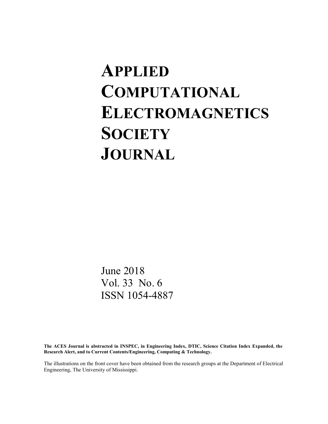# **APPLIED COMPUTATIONAL ELECTROMAGNETICS SOCIETY JOURNAL**

June 2018 Vol. 33 No. 6 ISSN 1054-4887

**The ACES Journal is abstracted in INSPEC, in Engineering Index, DTIC, Science Citation Index Expanded, the Research Alert, and to Current Contents/Engineering, Computing & Technology.**

The illustrations on the front cover have been obtained from the research groups at the Department of Electrical Engineering, The University of Mississippi.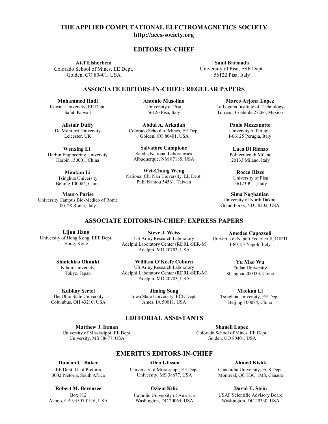# **THE APPLIED COMPUTATIONAL ELECTROMAGNETICS SOCIETY EDITORS-IN-CHIEF EDITORS-IN-CHIEF THE APPLIED COMPUTATIONAL ELECTROMAGNETICS SOCIETY http://aces-society.org http://aces-society.org THE APPLIED COMPUTATIONAL ELECTROMAGNETICS SOCIETY http://aces-society.org** http://aces-society.org **THE APPLIED COMPUTATIONAL ELECTROMAGNETICS SOCIETY http://aces.org/community.org/ THE APPLIED COMPUTATIONAL ELECTROMAGNETICS SOCIETY** THE APPLIED COMPUTATIONAL ELECTROMAGNETICS SOCIETY<br>http://aces-society.org<br>EDITORS-IN-CHIEF<br>Atef Elsherbeni Sami Barmada THE APPLIED COMPUTATIONAL ELECTROMAGNETICS SOCIETY<br>
(Coloring Coloring Dept. University of Tax ESS (Distanting of Tax China University of Tax China University of Tax China University of Tax China University of Tax China Un **http://aces-society.org** THE APPLIED COMPUTATIONAL ELECTROMAGNETICS SOCIETY<br>
http://accs-society.org<br>
Lendon Same Born (Mines, FE Dept.<br>
Coloring ER Dept.<br>
Coloring ER Dept.<br>
Coloring Hamilton Coloring Coloring Coloring Coloring Coloring Coloring **ATIONAL ELECTRO**<br>http://aces-society.org **ATEGNAL ELECTROM.**  $\mathbf{E}$  and  $\mathbf{V}$  of  $\mathbf{E}$ http://aces-society.org G<sub>r</sub>owing second, USA http://aces-society.org  $\overline{\phantom{a}}$ Golden, CO 80401, USA  $\mathbf{B}$ **TATIONAL ELECTROMAGNETICS SOCIETY**<br>
http://acces-society.org<br>
EDITORS-IN-CHIEF<br>
Sami Barmada<br>
University of Pisa, ESE Dept.<br>
56122 Pisa, ltaly<br>
Marcus University of Pisa (ESE ULAR PAPERS<br>
Armunio Museum Single of Potento THE APPLIED COMPUTATIONAL ELECTROMAGNETICS SOCIETY<br> **http://acces-society.org**<br>
EDITORS-IN-CHIEF<br>
Are Eksherbeni<br>
Golden, CO 80401, USA<br>
ASSOCIATE EDITORS-IN-CHIEF: REGULAR PAPERS<br>
ARE COLORIDORS-IN-CHIEF: REGULAR PAPERS<br> **EDITORS-IN-CHIEF** http://aces-society.org  $\mathbf{C}$ **JNAL ELECT ANAL ELECT** CIAILONAL ELECTRONI **Sami Barmada**<br> **Sami Barmada**<br> **Sami Barmada**<br> **Sami Barmada**<br> **Sami Barmada**<br>
Colden, CO 80401, USA<br>
Colden, CO 80401, USA<br>
Colden, CO 80401, USA<br> **Sami Barmada**<br> **Line-strip of Pisa, ESE Dept.**<br> **Line-strip of Pisa, ESE ANAL ELECT** Colorado BBCHOM ttp://aces-society.or<sub>{</sub>

#### $E$ **DITORS-IN-CHIEF** Golden, CO 80401, USA Colorado School of Mines, EE Dept. **EDITORS-IN-CHIEF EDITORS-IN-CHIEF** Golden, CO 80401, USA Colorado School of Mines, EE Dept. DITORS-IN-CHIEF ditade in *c*uter **URS-IN-CHI Sami Barmada** UPITURU IN CHILI **TORS-IN-CH** University of Pisa, ESE Dept.

Colorado School of Mines, EE Dept. University of Pisa, ESE Dept. University of Pisa, ESE Dept. **Atef Elsherbeni** Golden, CO 80401, USA Colorado School of Mines, EE Dept. Colorado School of EECO 80401, and EECO 80401, and EECO 80401, and EECO 80401, and EECO 80401, and EECO 80401, and EECO 80401, and EECO 80401, and EECO 80401, and EECO 80401, and EECO 80401, and EECO 80401, and EECO 80401, University of Pisa, ESE Dept. University of Pisa, ESE Dept.  $\mathbf{H}$ **Atef Elsherbeni** Ater Eisnerbeni **EXECUTE:**<br>
Indies, EE Dept.<br>
Indies 1994<br> **Indies 2014 11:**<br> **Indies 1995**<br> **Indies 1997**<br> **Indies 1997**<br> **Indies 1997**<br> **Indies 1997**<br> **Indies 1998**<br> **Indies 1998**<br> **Indies 1998**<br> **Indies 1998 Example 18 Articles**<br>
International Control Control Control Control Control Control Control Control Control Control Control<br>
Dept. Antonio Musoline<br>
Dept. 56126 Pisa Italy nerbeni<br>
I Mines, EE Dept.<br>
19401, USA<br> **OCIATE EDITORS-IN-CHIEF<br>
ii Antonio Musolin**<br>
Dept. University of Pisa<br>
56126 Pisa, Italy **EDITOI**<br> **EDITOI**<br> **Colorado School of Mines, EE Dept.**<br>
Golden, CO 80401, USA<br> **ASSOCIATE EDITORS-I**<br> **Mohammed Hadi**<br> **Colorado School And Anton Colorado School Colorado School Colorado School Colorado School<br>
De Montfo** 

**Sami Barmada Sami Barmada** University of Pisa, ESE Dept. University of Pisa, ESE Dept. 56122 Pisa, Italy 56122 Pisa, Italy **Sami Barmad**<br>
University of Pisa, Es<br>
56122 Pisa, Ita<br> **REGULAR PAPERS**<br>
Marco A<br>
La Laguna Inst<br>
Torreon, Coah<br>
Paolo N<br>
University I-06125 J<br>
e<br>
e<br>
Tuca<br>
Paolo N<br>
University I-06125<br>
e<br>
EE Dept.<br>
Roc<br>
EE Dept.<br>
Roc<br>
Uni

#### **Sami Barmada ASSOCIATE EDITORS-IN-CHIEF: REGULAR PAPERS** ASSOCIATE E University of Pisa, Estate Dept. 85-IN-CHIEF LTORS-IN-CHIEF: RE 56122 Pisa, Italy University of Pisa, ESE Dept. UTODE IN CHIEF, DE 35-113-CHILI  $\sum_{i=1}^{n}$ 5-118-CHIEF) UTODE IN CHIEF, DEP f Elsherbeni<br>
ool of Mines, EE Dept.<br>
CO 80401, USA<br>
ASSOCIATE EDITORS-IN-CHIEF: REGULAR PAPERS<br>
ASSOCIATE EDITORS-IN-CHIEF: REGULAR PAPERS **ASSOCIATE EDITORS-IN-CHIEF: REGULAR PAPERS ASSOCIATE EDITORS-IN-CHIEF: REGULAR PAPERS ASSOCIATE EDITORS-IN-CHIEF: REGULAR PAPERS**<br> **Antonio Musolino** Marco A  $1880$  Cm<sup>2</sup> **EDITOR-IN-CHIEF EXECUTE**

Pisa, Italy

**Mohammed Hadi Mohammed Hadi EXAMPLE IN A THE INCOMENDENT CONTROL**<br>Kuwait University, EE Dept. Safat, Kuwait<br>
Safat, Kuwait<br>
Safat, September 2012<br>
Safat, Kuwait<br>
Safat, Kuwait<br>
Safat, Kuwait<br>
Safat, Kuwait<br>
Safat, Rusait **Mohammed Hadi** Kuwan University, EE Dept.<br>Safat, Kuwait **Mohammed Hadi Mohammed Hadi** Safat, Kuwait **Hadi**Safat, Kuwait

**Mohammed Hadi Alistair Duffy Alistair Duffy** Kustan Duny De Montfort University Leicester, UK **Antonio Musolino** Kuwait University, EE Dept. u Duny<br>at University De Montfort University<br>Leisaster LIV Alistair Duffy **Mohammed Hadi Alistair Duriy**  $\Lambda$  Estain Duff. SHStaff Duff<br>Mantfant Huitt **Alistair Duffy** Saar Dun<sub>.</sub> Alistoir Duffy **Alistair Duffy Mohammed Hadi**  $E = \frac{K}{L}$  $\mathbf{H} \mathbf{y}$ De Montfort University **Alistair Duffy** De Montfort University Leicester, UK De Montfort University<br>Leicester LIK Leicester, UK istair Duffy<br>nntfort University<br>eicester, UK<br>'enxing Li istair Duffy<br>ntfort University<br>eicester, UK atat, Kuwait<br>**istair Duffy**<br>intfort University<br>eicester, UK  $\mathbf{A}$ <sup>1</sup> $\mathbf{B}$ <sub>1</sub>  $\mathbf{C}$ <sub>1</sub>  $\mathbf{D}$ <sub>1</sub>  $\mathbf{C}$ <sub>1</sub> **De Montiort University**<br>Loiseater LIV **Alistair Duffy**<br>De Montfort University

 $\mathbf{W}$ .  $\mathbf{H}$ **Wenxing Li** Weitking Engineering University<br>Harbin Engineering University Harbin 150001, China Wonying I: **Wenxing Li bin 150001, Cl Alistair Duffy**  $\mathbf{w}$ enxing  $\mathbf{u}$  $W_{\text{onning}}$  U **VV CHALILE LA Wenxing Li**  $\mathbf{W}$   $\mathbf{U}$   $\mathbf{U}$   $\mathbf{U}$   $\mathbf{U}$   $\mathbf{U}$   $\mathbf{U}$   $\mathbf{U}$   $\mathbf{U}$   $\mathbf{U}$   $\mathbf{U}$   $\mathbf{U}$   $\mathbf{U}$   $\mathbf{U}$   $\mathbf{U}$   $\mathbf{U}$   $\mathbf{U}$   $\mathbf{U}$   $\mathbf{U}$   $\mathbf{U}$   $\mathbf{U}$   $\mathbf{U}$   $\mathbf{U}$   $\mathbf{U}$   $\mathbf{$  $\frac{1}{2}$  $W_{\text{onwing}}$  I: Harbin Engineering University **Wenxing Li WellXing Li**  $U_{\text{H}}$   $1.50001$   $C_{\text{H}}$ Harbin Engineering University<br>Harbin 150001, China Wenxing Li **Wenxing Li** Harbin Engineering University<br>Harbin 150001, China Harbin 150001, China **Engineering University**<br>
bin 150001, China Harbin Engineering Officersity Harbin 150001, China Harbin Engineering University **Wenxing Abdul Arkadan** Harbin 150001, China Harbin  $M_{\text{H}}$  and  $M_{\text{H}}$   $\sim$  0.001,  $\sim$  0.000  $\frac{1}{2}$  we is a single possible possible. Addit 150001, China

**Maokun Li Traukun Engineering University** 1 singhua Oniversity<br>Beijing 100084, China Beijing 100084, China **Maokun** Li  $\frac{1 \text{ singular}}{2 \cdot 2 \cdot 2 \cdot 4}$ Maokun Li **Example 3**<br>Tsinghua University  $\text{H}$  isingnua University **Ma**<sup>10000</sup>; Harbing LOOO Latin Engineering University **Harbin 100084**, China<br>Beijing 100084, China I singhua University<br>Beijing 100084, China  $\text{Reijing } 100084, \text{ China}$ Harbin 150001, China **Maokun Li**<br>
Tsinghua University<br> **Dailing 100024** China Mookun I j gnua Universit<br>2010094 Chi ajing Toooo<del>i</del>, Cilina Tsinghua University<br>:eiiing 100084 Chin  $B_{\text{e},\text{m}}$  100001, China  $\frac{1}{2}$ ieiiing 100084 China Beijing Toooo4, China **Salvator Children**<br>Reijing 100084 China Sandia National Laboratories **Salvatore Campione**

Mauro Parise **Mauro Parise**<br>University Campus Bio-Medico of Rome y Campus Bio-Medico of Rome<br>00128 Rome Italy ASSOCIATE EXPRESS PAPER **ASSOCIATE** EDITORS-IN-CHIEF EDITORS-IN-CHIEF EDITORS-IN-CHIEF EDITORS-IN-CHIEF EDITORS-IN-CHIEF EDITORS-IN-CHIEF EDITORS-IN-CHIEF EDITORS-IN-CHIEF EDITORS-IN-CHIEF EDITORS-IN-CHIEF EDITORS-IN-CHIEF  $\frac{60120 \text{ R0me}}{400}$ of the *Meane* of *Heine*<br>
00128 Rome, Italy ASSOCIATE EDITORS-IN-CHIEF EDITORS-IN-CHIEF EDITORS-IN-CHIEF EDITORS-IN-CHIEF EDITORS-IN-CHIEF EDITORS-IN-CHIEF EDITORS-IN-CHIEF EDITORS-IN-CHIEF EDITORS-IN-CHIEF EDITORS-IN-CHIEF EDITORS-IN-CHIEF EDITORS-IN-CHIEF EDITORS-**Maokun Li** ASSOCIATE EDITORS-IN-CHIEF EDITORS-IN-CHIEF EDITORS-IN-CHIEF EDITORS-IN-CHIEF EDITORS-IN-CHIEF EDITORS-IN-CHIEF EDITORS-IN-CHIEF EDITORS-IN-CHIEF EDITORS-IN-CHIEF EDITORS-IN-CHIEF EDITORS-IN-CHIEF EDITORS-IN-CHIEF EDITORS-Beijing 100084, China<br>**Maure Barise** ASSOCIATE EXPRESS PAPER **ASSOCIATE** EXPRESS PAPER IN THE SERVICE STATE OF SERVICE SERVICE SERVICE SERVICE SERVICE SERVICE SERVICE SERVICE SERVICE SERVICE SERVICE SERVICE SERVICE SERVICE SERVICE SERVICE SERVICE SERVICE SERV

Beijing 100084, China

Albuquerque, NM 87185, USA

56122 Pisa, Italy **ASSOCIATE EXECUTE:** The CHIVESHY OF I ISA<br>
Safat 56126 Pisa, Italy Torreon, Coah **Antonio Musolino Antonio Musolino Mohammed Hadi** 56122 Pisa, Italy 20 Harry, EE Dept. University of Pisa La Laguna Institute Contract Contract Contract Contract Contract Contract Contract Contract Contract Contract Contract Contract Contract Contract Contract Contract Contract Contract Co y, EE Dept. **ASSOCIATE EXECUTE EDITORS:** CONVERSITY OF PISA CONDUCTS EXECUTE EXECUTE EXECUTE TO DETERMINE THE S<br>ASSOCIATE EXECUTIVE EXECUTIVE EXECUTIVE EXECUTIVE TO THE SALE OF SALE SERVICE SERVICE SERVICE SERVICE SERVICE **Antonio Musolino Antonio Musolino Antonio Musolino** ntonio Musolin $\overline{\phantom{a}}$ ASSOCIATE EDITORS-IN-CHIEF EDITORS-IN-CHIEF EDITORS-IN-CHIEF EDITORS-IN-CHIEF EDITORS-IN-CHIEF EDITORS-IN-CHIEF EDITORS-IN-CHIEF EDITORS-IN-CHIEF EDITORS-IN-CHIEF EDITORS-IN-CHIEF EDITORS-IN-CHIEF EDITORS-IN-CHIEF EDITORSy, EE Dept. 6.6126 Pisa<br>
Wait 56126 Pisa, Italy 56126 Pisa, Italy **Antonio Musolino**

**Antonio Musolino Abdul A. Arkadan Abdul A. Arkadan Alistair Duffy Marco Arjona López** University of Pisa Abuur A. Arkadan<br>Colorado School of Mines, EE Dept. Solden, CO 80401, USA 56126 Pisa, Italy **Antonio Musolino Abdul A. A. A. A. Arkadan**<br>
5 Piese Stephen A. Arkadean<br> **A. Arkadean**<br>  $\overline{AB}$ **Antonio Musolino** DQUI A. Arkada Pack and Abdul A. Arkadan and Pack and Pack **Abdul A. Arkadan**<br>Colorado School of Mines, EE Dept. **Abdul A. Arkadan Abdul A. Arkadan**  $U_{\text{U}} = 60.80401$  J Colorado School of Mines, EE Dept.<br>Golden, CO 80401, USA Alistair Duffy<br>
De Mantfort University, Belanda Sahar La Mir University of Pisa<br>
56126 Pisa, Italy<br>
56126 Pisa, Italy<br>
Torreon, Coahuila 27266, Mex<br>
Abdul A. Arkadan<br>
Paolo Mezzanotte<br>
University of Perugia<br>
Golden, CO 80401, USA<br> **Salvatore Campione**<br>
Sandia National Laboratories<br> 56126 Pisa, Italy<br>
Torreon, Coahuila 27266, Me<br> **Abdul A. Arkadan**<br>
olorado School of Mines, EE Dept.<br>
Golden, CO 80401, USA<br> **Salvatore Campione**<br>
Sandia National Laboratories<br>
Albuquerque, NM 87185, USA<br> **Wei-Chung Weng** Colorado School of Mines, EE Dept.<br>Golden, CO 80401, USA **AntonioMusolino Abdul A. Arkadan Antonio Musolino** bdul A. Arkadan **Colorado School of Mines, EE De**<br>
IK Colorado School of Mines, EE De<br>
UIK Golden, CO 80401, USA<br>
Li Salvatore Campione<br>
University Sandia National Laboratories<br>
China Albuquerque, NM 87185, USA **Abdul Arkadan** 11 56126 Pisa, Italy<br> **Efy** 56126 Pisa, Italy<br> **Efy** 6126 Pisa, Italy<br>
Versity Colorado School of Mines, EE Dep<br>
K 60lden, CO 80401, USA<br> **Example 6126 Pisarter Campione**<br>
Sandia National Laboratories  $U$ <sub>00</sub> and  $U$ <sub>00</sub>  $U$ <sub>0</sub>  $U$ <sub>0</sub>  $H$ <sub>0</sub>  $H$ <sub>0</sub>  $H$ <sub>0</sub>  $H$ <sub>0</sub>  $H$ <sub>0</sub>  $H$ <sub>0</sub>  $H$ <sub>0</sub>  $H$ <sub>0</sub>  $H$ <sub>0</sub>  $H$ <sub>0</sub>  $H$ <sub>0</sub>  $H$ <sub>0</sub>  $H$ <sub>0</sub>  $H$ <sub>0</sub>  $H$ <sub>0</sub>  $H$ <sub>0</sub>  $H$ <sub>0</sub>  $H$ <sub>0</sub>  $H$ <sub>0</sub>  $H$ <sub>0</sub>  $H$ <sub>0</sub>  $H$ <sub>0</sub>  $H$ <sub>0</sub>  $H$ <sub>0</sub>  $H$ <sub>0</sub>  $H$ <sub>0</sub>  $H$ <sub>0</sub>

**Salvatore Campione** Sandia National Laboratories Golden, CO 80401, USA Albuquerque, NM 87185, USA Sandia National Laboratories Sandia National Laboratories<br>Albuquerque, NM 87185, USA **Salvatore Campione Abdul A. A. A. A. A. A. A.**<br>Arman  $\alpha$   $\alpha$ <sub>1</sub>  $\alpha$ <sub>2</sub>,  $\alpha$ <sub>2</sub>,  $\alpha$ <sub>2</sub>,  $\alpha$ <sub>2</sub>,  $\alpha$ <sub>2</sub>,  $\alpha$ <sub>2</sub>,  $\alpha$ <sub>2</sub>,  $\alpha$ <sub>2</sub>,  $\alpha$ <sub>2</sub>,  $\alpha$ <sub>2</sub>,  $\alpha$ <sub>2</sub>,  $\alpha$ <sub>2</sub>,  $\alpha$ <sub>2</sub>,  $\alpha$ <sub>2</sub>,  $\alpha$ <sub>2</sub>,  $\alpha$ <sub>2</sub>,  $\alpha$ <sub>2</sub>,  $\alpha$ <sub>2</sub>,  $\alpha$ <sub>2</sub>,  $\alpha$ <sub>2</sub>,  $\alpha$ <sub>2</sub>,  $\alpha$ <sub>2</sub>,  $\alpha$ <sub>2</sub>, **Salvatore Campione** Sandia National Laboratories<br>Albuquerque, NM 87185, USA **Salvatore Campione Salvatore Campione**  $\mathbf{C}$ Albuquerque, NM 87185, USA Sandia National Laboratories<br>Albuquerque, NM 87185, USA Salvatore Campione **Salvatore Campione** Sarvatore Campione **Milwaukee, Campione**<br>
Marquette University, Albertaneon, 2004, 27185, LISA **Weight** Parama Pandema **Encemberra**<br> **Papaper**<br> **Parama Billion**  $M$  and  $M$  and  $M$  is  $N$  of  $N$  or  $M$ **Salvatore Campione**<br>Sandia National Laboratories  $\mu_{\text{M}}$  Marquette United University,  $\mu_{\text{M}}$  $\mu$ uquerque, inivi 67109, OSA andia National Laboratories<br>buquerque, NM 87185, USA University of Perugia **Paolo Mezzanotte**

Wei-Chung Weng **Example 18 Analysis**<br>National Chi Nan University, EE Dept.<br>Puli Nantou 54561 Taiwan Puli, Nantou 54561, Taiwan Puli, Nantou 54561, Taiwan **Wei-Chung Weng**  $\sum_{i=1}^{n}$ Puli, Nantou 54561, Taiwan **Wei-Chung Weng** Colorado School of Mines, EE Dept.<br>
Golden, CO 80401, USA<br> **Salvatore Campione**<br>
Sandia National Laboratories<br>
Albuquerque, NM 87185, USA<br> **Nan University, EE Dept.**<br>
National Chi Nan University, EE Dept.<br>
Puli, Nantou 545 **Alistair Duffy**<br>
De Montfort University<br>
Leicester, UK<br>
Leicester, UK<br> **Wenxing Li**<br>
Harbin Engineering University<br>
Harbin 150001, China<br> **Maokun Li**<br>
Tsinghua University<br> **Maokun Li**<br>
Tsinghua University<br>
Musolinonic Pis Colorado School of Mines, EE Dept.<br>
Golden, CO 80401, USA<br> **Salvatore Campione**<br>
Sandia National Laboratories<br>
Albuquerque, NM 87185, USA<br> **Paological Chi Nantou 54561**, Taiwan<br>
Puli, Nantou 54561, Taiwan<br>
Diversity of Pis **1100084**<br> **1100084**<br> **1100084**<br> **1100084**<br> **1100084**<br> **1100084**<br> **1100084**<br> **1100084**<br> **1100084**<br> **1100084**<br> **1100084**<br> **1100084**<br> **1100084**<br> **1100084**<br> **1100084**<br> **1100084**<br> **1100084**<br> **1100084**<br> **1100084**<br> **1100084**<br> **1 Wei-Chung Weng**<br>National Chi Nan University, EE Dept. **Abdul A. Arkadan**<br>
Paolo Mezzanotte<br>
Drado School of Mines, EE Dept.<br>
University of Perugia<br>
Golden, CO 80401, USA<br> **Salvatore Campione**<br> **Luca Di Rienzo<br>
Politecnico di Milano**<br>
Buquerque, NM 87185, USA<br>
Politecnico di M **Salvatore Chung Weng**<br> **Sandia Chi Nan University, EE Dept.**<br> **Particular Sandia National Chi National Chi Nan University, EE Dept. Wei-Chung Weng**  $\ldots$ Marquette University, ECE Dept. National Chi Nati Officersity, EE Dept.<br>Puli, Nantou 54561, Taiwan Viniversity of Pisa<br>
University of Pisa<br>
56126 Pisa, Italy<br>
56126 Pisa, Italy<br> **Abdul A. Arkadan**<br> **Paolo Mezzanotte**<br>
Torreon, Coahuila 27266, Mex<br> **Abdul A. Arkadan**<br> **Paolo Mezzanotte**<br>
University of Perugia<br>
Golden, CO  $\sum_{n=1}^{\infty}$  M  $\sum_{n=1}^{\infty}$  54561  $\sum_{n=1}^{\infty}$ Wel-Chung weng<br>National Chi Nan University, EE Dept.<br>Puli Nantou 54561 Taiwan **Colorado School of Mines, Ether, UK Colorado School of Mines, Ether, UK Golden, CO 80401, USA<br>
<b>Ing Li** Salvatore Campione<br>
Fring University Sandia National Laborator<br>
Musolon, China Albuquerque, NM 87185, University<br>
Uni Luck Producted *D* I CIII IV**ali Oliiveisity, EE 1**<br>ili Nantou 54561 -Taiwan  $\mathfrak{m}, \mathfrak{n}$  and  $\mathfrak{so}_1, \mathfrak{n}$  and  $\mathfrak{m}$ Sandia National Sultivisty, 22 2  $\mathcal{L}_{\text{max}}$ , Nance 37501, Tarwan nar Cin Ivan Oniversity, EE De<br>Puli, Nantou 54561, Taiwan Wei-Chung Weng

**Marco Arjona López**<br> **Marco Arjona López** Marco Arjona Lopez<br>La Laguna Institute of Technology Torreon, Coahuila 27266, Mexico **Antonio Musolino ASSOCIATE EDITORS-IN-CHIEF: REGULAR PAPERSPONDING** Torreon, Coahuila 27266, Mexico La Laguna Institute of Technology Torreon, Coahuna  $27200$ , Mexico

**Marco Arjona López** Paolo Mezzanotte ept. University of Perugia I-06125 Perugia, Italy **Paolo Mezzanotte Marco Arjona López** Paolo Mezzanotte Da ala Magganatta I amo Mezzanotte<br>University of Perugia **Paolo Mezzanotte** T AOIO MEZZAHOLLE Daola Mezzanatte **Paolo Mezzanotte** Paolo Mezzanotte UIIIVEISILY OF FELL LAGUNA INSTITUTE OF THE TECHNOLOGY OF THE TECHNOLOGY OF THE TECHNOLOGY OF THE TECHNOLOGY OF THE TECHNOLOGY OF THE TECHNOLOGY OF THE TECHNOLOGY OF THE TECHNOLOGY OF THE TECHNOLOGY OF THE TECHNOLOGY OF T I-06125 Perugia, Italy  $\mathbf{c}$ **Paolo Mezzanotte**I-06125 Perugia, Italy **Paolo Mezzanotte**<br>University of Perugia<br>I-06125 Perugia, Italy  $U_0$ 6125 Pe I-06125 Perugia, Italy **Paolo Mezzanotte Paolo Mezzanotte** University of Ferdingia<br>OC 125 Demois Rubi I-06125 Perugia, Italy University of 1 engine<br>L06125 Perugia - Italy  $\sum_{i=1}^{n}$ 

Luca Di Rienzo Luca Di Rienzo<br>Politecnico di Milano Ponteented di Milano<br>20133 Milano, Italy **Luca Di Rienzo** Politecnico di Milano **Luca Di Rienzo** LUCA DI KIENZO Politecnico di Milano **Euca Di Kienzo**<br>Politecnico di Milano POILCORD OF PERSON 20133 Milano, Italy 20133 Milano, Italy Milwaukee, WI 53201, USA **Luca Britannica**<br> **Politecnico di Milano**<br> **Rocco Rizzo**<br>
University of Pisa **Luca Di Rienzo Luca Di Rienzo** 20133 Milano, Italy

**Luca Di Rienzo Rocco Rizzo** Pept. University of Pisa 56123 Pisa, Italy **Rocco Rizzo Luca Di Rienzo Rocco Rizzo** Politecnico di Milano Politecnico di Milano 20133 MUCCO INIZZO **2013** ROCCO KIZZO  $\mathbf{p}_1, \ldots, \mathbf{p}_{n-1}$ **Rocco Rizzo**<br>Universita di Disc **NOCCO NIZZO**<br>University of Pisa 56123 Pisa, Italy 56123 Pisa, Italy University of Pisa 56123 Pisa, Italy

**Rockania** Sinia Isognaman<br>
ersity of North Da EDITORS: ITALIC STRONG PAPERS PAPERSITY OF PISARIO OF NOTHERS PAPERS PAPERS PAPERS PAPERS PAPERS PAPERS PAPERS PAPERSON ASSOCIATE PAPERS PAPERS PAPERS PAPERS PAPERS PAPERS PAPERS PAPERS PAPERS PAPER PAPERS PAPER PAPERS PAP ima Noghania **Rocco Rizzo** university of Pi **Sima Noghanian<br>Versity of North Del SHIA INGHAMAN**<br>56123 University of North Dakota **Community Community Community** Community Community Community Community Community Community Community Community Community Community Community Community Community Community Community Community Community Community Community 51ma Noghania 20133 Milano, Italy 56123 Pisa, Italy 56123 Pisa, Italy 56123 Pisa, Italy 56123 Pisa, Italy**Rocco Rizzo**  $\frac{1}{2}$ **ASSOCIATE EDITORS-IN-CHIEF: EXPRESS PAPERS** Assumption of the contract of the contract of the contract of the contract of the contract of the contract of the contract of the contract of the contract of the contract of the contract of the contract of the contract of ma Noghanian na Noghanian  $\overline{56}$  Pisa, Italy ASSOCIATE EDITORS-IN-CHIEF EDITORS-IN-CHIEF EDITORS-IN-CHIEF EDITORS-IN-CHIEF EDITORS-IN-CHIEF EDITORS-IN-CHIEF EDITORS-IN-CHIEF EDITORS-IN-CHIEF EDITORS-IN-CHIEF EDITORS-IN-CHIEF EDITORS-IN-CHIEF EDITORS-IN-CHIEF EDITORS-56123 Pisa, Italy<br>**Sima Noghania**<br>versity of North D<br>H Forks, ND 58202

Albuquerque, NM 87185, USA

Univerita di Napoli Federico II, DIETI

 $\mathbf{I}$  di Napoli Federico II, die Tederico II, die Tederico II, die Tederico II, die Tederico II, die Tederico II, die Tederico II, die Tederico II, die Tederico II, die Tederico II, die Tederico II, die Tederico II, di

 $50125$  Napon, na

r i vapoli Teacric<br>0125 Nanoli Ita  $\frac{1}{2}$   $\frac{1}{2}$   $\frac{1}{2}$   $\frac{1}{2}$   $\frac{1}{2}$   $\frac{1}{2}$   $\frac{1}{2}$   $\frac{1}{2}$   $\frac{1}{2}$   $\frac{1}{2}$   $\frac{1}{2}$   $\frac{1}{2}$   $\frac{1}{2}$   $\frac{1}{2}$   $\frac{1}{2}$   $\frac{1}{2}$   $\frac{1}{2}$   $\frac{1}{2}$   $\frac{1}{2}$   $\frac{1}{2}$   $\frac{1}{2}$   $\frac{1}{2}$ 

Fudan University

*Y*  $\frac{1}{2}$   $\frac{1}{2}$   $\frac{1}{2}$   $\frac{1}{2}$   $\frac{1}{2}$   $\frac{1}{2}$   $\frac{1}{2}$   $\frac{1}{2}$   $\frac{1}{2}$   $\frac{1}{2}$   $\frac{1}{2}$   $\frac{1}{2}$   $\frac{1}{2}$   $\frac{1}{2}$   $\frac{1}{2}$   $\frac{1}{2}$   $\frac{1}{2}$   $\frac{1}{2}$   $\frac{1}{2}$   $\frac{1}{2}$   $\frac{1}{2}$   $\frac{1}{$ 

**Amedeo Capozzoli**

I-80125 Napoli, Italy

Yu Mao Wu

Yu Mao Wu

Yu Mao Wu

**Yu Mao Wu** Yu Mao Wu

Fudan University<br>Shanghai 200433, China

Shanghai 200433, China

**Maokun Li**

**Shanghai 200433**, China

 $\mathcal{L}$ 

 $\limsup$ anghar 2004 $\sigma$ , China

Beijing 100084, China Beijing 100084, China **Maokun Li Yu Mao Wu Maokun Li Maokun Li**

 $\frac{1}{2}$ Shanghai 200433 China

Shanghai 200433, China

Maokun Li **Maokun Li**<br>Tsinghua University, EE Dept.

Beijing 100084, China

#### **Lijun Jiang** ASSUCIA **Steve J. Weiss**  $1$ UKS-IN-CHIEF; E $2$ **Amedeo Capozzoli ASSOCIATE EDITORS-IN-CHIEF: EXPRESS PAPERS** IATE EDITORS-IN-CHIEF  $\mathbf{S}$ **ASSOCIATE EDITORS-IN-CHIEF: EXPRESS PAPERS** ASSUCIA. **Steve J. Weiss**  $1$ UKS-IIN-CHIEF; E $\lambda$ **Amedeo Capozzoli** S FAFERS **Sima Noghanian** ASSUC **ASSOCIATE EDITORS-IN-CHIEF: EXPRESS PAPERS Stamatios Amanatiadis** University of Hong Kong, Dept. of EEE  $U$  are  $U$  are  $V$  are  $U$  are  $U$  are  $U$  are  $U$ Univerita di Napoli Federico II, DIETI **Lijun Jiang** OT28 ROMe, Hally<br>ASSOCIATE EDITORS-IN-CHIEF: EXPRESS PAPERS **Amedeo Capozzoli** Kong, Dept. of Ing 100084, China<br>
Mauro Parise<br>
Mauro Parise<br>
Inversity of None<br>
University of Nor<br>
University of Nor<br>
University of Nor<br>
Grand Forks, ND 5<br>
ASSOCIATE EDITORS-IN-CHIEF: EXPRESS PAPERS<br>
Lijun Jiang<br>
Steve J. Weiss Amedeo C Puli, Nantou 54561, Taiwan 56123 Pisa, I<br>
e Sima Noghai<br>
dico of Rome University of North<br>
University of North<br>
Grand Forks, ND 58<br>
SSOCIATE EDITORS-IN-CHIEF: EXPRESS PAPERS 100084, China Pull, Nantou 54561, Talwan 56123 Pisa, I<br>
Iauro Parise Sima Noghai<br>
1998 Bio-Medico of Rome University of North Grand Forks, ND 58<br>
1998 ASSOCIATE EDITORS-IN-CHIEF: EXPRESS PAPERS<br>
1998 ASSOCIATE EDITORS-IN-C ASSUCIA I **Lisociate Editods in Chief. Evedess Dadeds** University of Hong Kong, Dept. of EEE **Steve J. Weiss**  $1$ UN $\sigma$ - $1$ I $\sim$ CHHEF, E $\pi$ **Amedeo Capozzoli** ASSOCIATE EDITORS-IN-CHIEF: EXPRESS PAPERS Beijing 100084, China 56123 Pisa, Italy Tsinghua University  $A$ 550 university of Pisar Company of Pisar Pisar Pisar Pisar Pisar Pisar Pisar Pisar Pisar Pisar Pisar Pisar Pisar P<br>Pisar Pisar Pisar Pisar Pisar Pisar Pisar Pisar Pisar Pisar Pisar Pisar Pisar Pisar Pisar Pisar Pisar Pisar Pi 55-11<mark>9-</mark>CHIE

University of Hong Kong, EEE Dept.<br>Hong Kong  $Hong, Kong$ Hong, Kong Hong, Kong **Lijun Jiang Lijun Jiang Lijun Jiang Lijun Lijun Jiang ASSOCIATE EDITORS-IN-CHIEF: EXPRESS PAPERS Lijun Jiang** University of Hong Kong, EEE Dept. US Army Research 1 Hong, Kong<br>Hong, Kong un Jiang<br>ong Kong, EEE<br>ng, Kong<br>hiro Ohnuki<br>n University<br>kyo, Japan Hong, Kong Hong, Kong  $\mathcal{O}$ **n Jiang**<br>ng Kong, EEE I<br>g, Kong<br>**iiro Ohnuki**<br>University<br>yo, Japan

Shinichiro Ohnuki Nihon University<br>Tabus Jensen Tokyo, Japan Tokyo, Japan  $A$ ninichiro Ohnu **Shinichiro Ohnuki** Shinichiro Ohnuk **Shinichiro Ohnuki**<br>Nihon University<br>Tokyo, Japan **The Ohio State University**<br>
Tokyo, Japan inichiro Ohn  $\sum_{i=1}^{n}$  $T_{\text{c}}$   $T_{\text{c}}$   $T_{\text{c}}$   $T_{\text{c}}$   $T_{\text{c}}$   $T_{\text{c}}$   $T_{\text{c}}$   $T_{\text{c}}$  $T(X, y)$ ,  $T(Y, y)$ Adelphi Laboratory Center (RDRL-SER-M) **Kubilah Servestry**<br>Tokyo Janan I okyo, Japan nichiro Ohnuk **Christina Bonning Christina Bonning The Ohiversity**<br>Tokyo, Japan  $T_{\text{on }j}$  of  $\theta$ ,  $\theta$  supplies ang Kong, EEE<br>ng, Kong<br>**hiro Ohnuki**<br>n University<br>kyo, Japan  $\mathcal{L}$   $\mathcal{L}$ University of Mississippi, Electrical Engineering Dept. University of Mississippi, Electrical Engineering Dept.

**Kubilay Sertel Kubilay Sertel** The Ohio State University Columbus, OH 43210, USA Kubilay Sertel **College Luis Seriel Kubilay Sertel Kubilay Sertel**<br>The Ohio State University<br>Calegria, OU 42210, USA Kubilay Sertel Addin References  $T \cdot \mathbf{u} = \alpha \cdot \mathbf{v}$ Kubilay Sertei **EMERITUS EDITORS-IN-CHIEF** 

Cijun Jiang<br>
Film Jiang<br>
EE Dept.<br>
US Army Research Laboratory<br>
Universita di Napang Kong<br>
Adalahi I sharatory Center (PDPL SEP M) Adelphi Laboratory Center (RDRL-SER-M)<br>Adelphi, MD 20783, USA<br>William O'Keefe Coburn<br>US Army Research Laboratory Adelphi, MD 20783, USA M) I-80125 Napoli, Italy ng \_\_\_ \_\_ Steve J. Weiss Amede **Amedeo Capozzoli**  $\mathcal{A}$  Laboratory Center (RDRL-SER-M)  $\mathbf{L}$  are search Laboratory Research Laboratory Research Laboratory Research Laboratory Research Laboratory Research Laboratory Research Laboratory Research Laboratory Research Laboratory Research Laboratory Research L na Adeleo Capozzoni<br>I-80125 Napoli Federico II, DIETI **William O'Keefe Coburn** Universita di Napoli Pederico II<sub>,</sub><br> **I-80125 Napoli**, Italy Steve J. Weiss<br>
New J. Weiss<br>
US Army Research Laboratory Amedeo Capozzoli ol of Mines, EE Dept.<br>
University of Pisa, E<br>
SSOCIATE EDITORS-IN-CHIEF: REGULAR PAPERS<br>
Hadi Antonio Musolino Marco /<br>
La Laguna Instructor of Pisa (La Laguna Instructor)<br>
(Fig. EE Dept.<br>
University of Pisa, Italy Torreon Dept.<br>
University of Pisa Halgama Indian Colorado School of Muscline<br>
University of Pisa Halgama Inc.<br>
Shanghai A. Arkadan<br>
Abdul A. Arkadan<br>
(Colorado School of Mines, EE Dept.<br>
Colorado School of Mines, EE Dept.<br>
Shangha ASSOCIATE EDITORS-IN-CHIEF: EXPRESS PAPERS<br>
ijun Jiang Steve J. Weiss Amedeo Cape<br>
Hong Kong, EEE Dept. US Army Research Laboratory Universita di Napoli Fede<br>
Iong, Kong Adelphi Laboratory Center (RDRL-SER-M) I-80125 Napol  $P_{\text{H}\text{C}}$  and  $P_{\text{C}}$  are  $P_{\text{C}}$  and  $P_{\text{C}}$  are  $P_{\text{C}}$  and  $P_{\text{C}}$  are  $P_{\text{C}}$  and  $P_{\text{C}}$  are  $P_{\text{C}}$  and  $P_{\text{C}}$  are  $P_{\text{C}}$  and  $P_{\text{C}}$  are  $P_{\text{C}}$  and  $P_{\text{C}}$  are  $P_{\text{C}}$  and  $P_{\text{C$  $\alpha$  Laboratory Center (RDRL-SER-M) **MILLERGE CONCEPTED**<br>Adelphi MD 20783 USA **EDITORS-IN-CHIEF**<br>
Mater Elsherbeni<br>
Mater Colore, CO 80401, USA<br>
(Golden, CO 80401, USA<br>
(Materior of Pisa, ESE Dept.<br>
Mater Arjona Lo<br>
Mater Arjona Lo<br>
Mater Arjona Lo<br>
University of Pisa, Halby<br>
Mater Arjona Lo<br>
Univer **Kubilary Steve J. Weiss**<br>
Steve J. Weiss<br>
Hong, Kong<br>
Kong<br>
Kong<br>
Adelphi Laboratory Center (RDRL-SE<br>
Adelphi, MD 20783, USA<br>
inichiro Ohnuki<br>
William O'Keefe Coburn<br>
Vibion University<br>
Tokyo, Japan<br>
Adelphi Laboratory Ce aboratory<br>(RDRL-SER-M)<br>3, USA<br>**Coburn Kubilay Steve J. Weiss**<br>
Steve J. Weiss<br>
Hong, Kong<br>
Hong, Kong<br>
Adelphi Laboratory Center (RDRL-SE<br>
Adelphi, MD 20783, USA<br>
inichiro Ohnuki<br>
William O'Keefe Coburn<br>
Nihon University<br>
Tokyo Japan<br>
Adelphi J aboratory Cent iss<br>aboratory<br>(RDRL-SER-M)<br>3, USA<br>C  $\text{S}$ 

**uki**<br>ty US Army Research Laboratory<br>ty US Army Research Laboratory Adelphi Laboratory Center (RDRL-SER-M) Adelphi, MD 20783, USA Yu Mao Wu ru Mao Wu<br>Fudan University William O'Keefe Coburn Iowa State University, ECE Dept. Adelphi Laboratory Center (RDRL-SER-M) **Chio Steve J. Weiss Amedeo Capozzoli**<br>
Of Hong, Kong EEE Dept. US Army Research Laboratory<br>
Adelphi, MD 20783, USA<br> **Adelphi, MD 20783, USA**<br> **Adelphi, MD 20783, USA**<br> **Adelphi, MD 20783, USA**<br> **Property Collar Collar Col** William O'Keefe Coburn<br>US Army Research Laboratory<br>Adelphi Laboratory Center (RDRL-SER-M<br>Adelphi, MD 20783, USA **n Jiang Steve J. Weiss**<br>
ng Kong, EEE Dept. US Army Research Laboratory<br>
g, Kong Adelphi Laboratory Center (RDRL-S<br>
Adelphi, MD 20783, USA<br> **iro Ohnuki**<br>
US Army Research Laboratory<br>
US Army Research Laboratory<br>
Messearch Adelphi, Laboratory Center (RDRL-SER-M) US Army Research Laboratory<br>
phi Laboratory Center (RDRL-SER-M)<br>
Adelphi, MD 20783, USA<br> **William O'Keefe Coburn**<br>
US Army Research Laboratory<br>
phi Laboratory Center (RDRL-SER-M)<br>
Pudan University<br>
phi Laboratory Center (R Yu Mao Wu /illiam O'Keefe Cobur **William O'Keefe Coburn**<br>US Army Research Laboratory  $I = I \cup I$ **Example 2018**<br>Adelphi, MD 20783, USA **Jiming Song** William O'Keefe Coburn WILLIAM O'Keele Codurn William O'Keefe Coburn **ASSOCIATE EDITORS-IN-CHIEF: I<br>
Lijun Jiang Steve J. Weiss**<br>
From Kong, EEE Dept.<br>
Hong, Kong Adelphi Laboratory Center (RDRL<br>
Adelphi, MD 20783, USA<br> **Shinichiro Ohnuki**<br>
Nihon University<br>
Tokyo, Japan Adelphi Laboratory **ITORS-IN-CHIEF: EXPRESS PAPERS**<br>
Steve J. Weiss Amedeo Capozzoli<br>
US Army Research Laboratory<br>
phi Laboratory Center (RDRL-SER-M)<br>
Adelphi, MD 20783, USA<br> **William O'Keefe Coburn**<br>
US Army Research Laboratory<br>
phi Laborat A<br>Adelphi Laboratory Change Center (RDRL)<br>Change Change Change Change 'Keefe Coburn aboratory Center (KDKL-SE<br>delphi, MD 20783, USA  $U(x) = 0$ **William O'Keefe Coburn** William O'Keefe Coburn  $\mathbf{U}$ WIIIIam O'Keele Coburn Samuel Research (1987)<br>
Maria Samuel Research (1987)<br>
Samuel Research (1987)<br>
Solocity (University of Fisa, ESE Dept.<br>
Solocity (University of Fisa 1987)<br>
Concordia Economy (1988)<br>
Solocity (1988)<br>
Solocity (1988)<br>
Concord  $\mathbf{W}^{\mu}$   $\mathbf{R}^{\mu}$   $\mathbf{Q}^{\mu}$   $\mathbf{M}^{\nu}$  .  $\mathbf{R}^{\mu}$   $\mathbf{R}^{\mu}$   $\mathbf{R}^{\mu}$  $\sum_{i=1}^{n}$  $I = \{x_i, y_i, y_i\}$ adelphi Laboratory Center (RDRL-Serve<sup>nt)</sup><br>Engineering Dept. Shanell Dept. 2014<br>2014 10:30 PM Dept. 2014 10:30 PM Dept. 2014 10:30 PM Dept. 2014 10:30 PM Dept. 2014 10:30 PM Dept. 2014 10:30 phi, MD 20783, **Example 1. Weiss** Amedeo Capozzoli<br>
Research Laboratory Univerita di Napoli Federico I<br>
I-80125 Napoli, Italy<br>
MD 20783, USA<br> **O'Keefe Coburn Vu Mao Wu**<br>
Research Laboratory Fudan University<br>
IV Mao Wu<br>
Fudan University<br> Safat, Kuwait 56126 Pisa, Italy Torreon, Coahuila 27266, Mexico<br>
University Colorado School of Mines, EE Dept. University Colorado School of Mines, EE Dept. Wenting Li<br>
University Columbus, OBMOL, USA University Columbus, University of North Dakota<br>
Grand Forks, ND 58202, USA<br> **DRS-IN-CHIEF: EXPRESS PAPERS**<br>
Steve J. Weiss Amedeo Capozzoli<br>
Army Research Laboratory<br>
aboratory Center (RDRL-SER-M) I-80125 Napoli, Italy<br>
delphi, MD 20783, USA<br> Film Kong, EEE Dept. US Army Research Laboratory<br>
Hong, Kong<br>
Adelphi Laboratory Center (RDRL-SE<br>
Adelphi, MD 20783, USA<br> **inichiro Ohnuki**<br>
W**illiam O'Keefe Coburn**<br>
US Army Research Laboratory<br>
Tokyo, Japan<br>
Adelphi Labo Society.org<br>
IN-CHIEF<br>
Sami Barma<br>
University of Pisa, 1<br>
56122 Pisa, 1<br>
76122 Pisa, 1<br>
Musolino Marco<br>
y of Pisa La Laguna In<br>
sa, Italy Torreon, Coa<br>
Arkadan Paolo<br>
Arkadan Paolo<br>
Torreon, Coa<br>
Arkadan Paolo<br>
Inversity, Society.org<br>
IN-CHIEF<br>
University of Pisa, I<br>
University of Pisa, I<br>
S6122 Pisa, I<br>
CHIEF: REGULAR PAPER:<br>
Musolino Marco<br>
y of Pisa La Laguna In<br>
Sa, Italy Torreon, Cos<br>
Arkadan Paolo<br>
Afmines, EE Dept.<br>
IL Laboratories L Xare Telestrone Computer (Society Color) (Society COMPUTATION STATE COMPUTATION STATE COMPUTATION STATE COMPUTATION STATE COMPUTATION (SOCIETY A ADMINISTRATION COMPUTATION COMPUTATION COMPUTATION (SOCIETY AREA COMPUTATION

US Army Research Laboratory

Iowa State University, ECE Dept. Towa State University, ECE Dept.<br>The Ames, IA 50011, USA<br>Ames, IA 50011, USA **Jiming Song**  $I = 1, 1, 2, \ldots$ Jiming Song Jiming Song Jiming Song **EXECTED**<br>Ames IA 50011 USA

#### **EDITORIAL ASSISTANTS EDITORIAL ASSISTANTS Ming Jin EDITORIAL ASSISTANTS** ITODI JI JOCICT LIT UKIAL ASSIST **EDITORIAL ASSISTANTS David E. Stein** ENITODI JI JOOICH JANG

**Matthew J. Inman Matthew J. Inman Matthew J. InmanMatthew J. Innan**<br>University of Mississippi, EE Dept. University of Mississippi, Electrical Engineering Of Mississippi, Electrical Engineering Dept. University, MS 38677, USA Ept. Col **Construction** Ept. Col Ept. Col Ept. Col **Matthew J. Inman** 

Iowa State University, ECE Dept.

**Matthew J. Inman**

**Matthew J. Inman**

**Shanell Lopez**<br> **Shanell Lopez** Colorado School of Mines, EE Dept. **Shanell Lopez** Golden, CO 80401, USA  $\sum_{I} E(E)$  E Dept.<br>Colorado School of Mines, EE Dept.  $\mathbf{G}$ 

 $\sum_{n=1}^{\infty} 10001$ 

#### **Matthew J. Inman** EMERITUS EDITORS-IN-CHIEF **Shanell Lopez EMERITUS EDITORS-IN-CHIEF**  $\mathbf{F}$  and  $\mathbf{F}$ **Matthew J. Inman** Colorado School of Mines, Electrical Engineering Dept. Golden, CO 80401, USA University of Mississippi, Electrical Engineering Dept. Electrical Engineering Dept. Electrical Engineering De  $U<sub>N</sub>$  $\mathbf{F}$ **Matthew J. Inman** EMERITUS EDITORS-IN-CHIEF<br>Align Clisser University of Electrical Engineering **EMERITUS EDITORS-IN-CHIEF Imaculate Rosaline EMERITUS EDITORS-IN-CHIEF**

#### can C. Baker University of Mississippi, Electrical Engineering Dept. Duneen C Delter **Duncan C. Baker**<br> **EMERITUS ASSOCIATE**

EE Dept. U. of Pretoria 0002 Pretoria, South Africa

**Robert M. Bevensee** 

Box  $812$ Alamo, CA 94507-0516, USA

**Allen Glisson Candace Suriano Allen Glisson** University, MS 38677, USA University, MS 38677, USA University of Mississippi, EE Dept.

#### Ahmed K n<br>
Montreal, Colorado School of Mines, Electrical Engineering Dept. 2014

Concordia University, ECS Dept. MS 38677, USA Montreal, QC H3G 1M8, Canada

**Ozlem Kilic** 

Catholic University of America Washington, DC 20064, USA

David E. Stein

USAF Scientific Advisory Board Washington, DC 20330, USA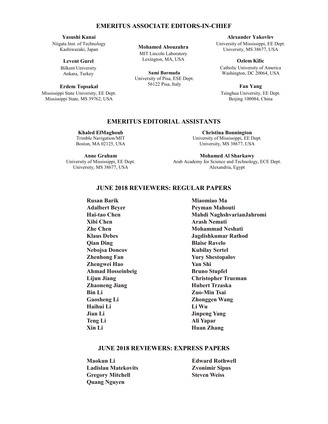#### **EMERITUS ASSOCIATE EDITORS-IN-CHIEF EMERITUS ASSOCIATE EDITORS-IN-CHIEF EMERITUS ASSOCIATE EDITORS-IN-CHIEF http://aces-society.org**  $\mathbf{L}$  $\mathbf{E}$ ivi  $E_N$ **Alexander Yakovlev**  $\blacksquare$

# Yasushi Kanai

Niigata Inst. of Technology Niigata Inst. of Technology Kashiwazaki, Japan Kashiwazaki, Japan **Levent Gurel Levent Gurel**  $\mathcal{L}$ 

# Levent Gurel

Bilkent University Bilkent University Ankara, Turkey

## Erdem Topsakal

Mississippi State University, EE Dept. Mississippi State, MS 39762, USA ASSOCIATE EDITORS-IN-CHIEF: **ASSOCIATE EDITORS-IN-CHIEF:** REGULAR PAPERS<br>ASSOCIATE EDITORS-IN-CHIEF: REGULAR PAPERS

**Mohamed Abouzahra**

Lexington, MA, USA **MIT Lincoln Laboratory** Golden, CO 80401, USA

Lexington, MA, USA **Alexander Yakovlev Sami Barmada** 56122 Pisa, Italy University of Pisa, ESE Dept.

**EMERITUS ASSOCIATE EDITORS-IN-CHIEF Alexander Yakovlev** University of Mississippi, EE Dept. versity of mississippi, ee D<br>University, MS 38677, USA

catholic University,  $\frac{1}{2}$ 

**Ozlem Kilic** Catholic University of America Washington, DC 20064, USA

**Fan Yang** Tsinghua University, EE Dept. Beijing 100084, China

#### **EMERITUS EDITORIAL ASSISTANTS EMERITUS EDITORIAL ASSISTANTS**  $T<sub>0</sub>$

**Khaled ElMaghoub Khaled ElMaghoub Khaled ElMaghoub Alistair Duffy Trimble Navigation/MIT** Boston, MA 02125, USA Boston, MA 02125, USA Boston, MA 02125, USA **De Monteville** 

Anne Graham University of Mississippi, EE Dept. University of Mississippi, EE Dept. University of Mississippi, EE Dept. Harbin 150001, China University, MS 38677, USA University, MS 38677, USA University, MS 38677, USA

**Christina Bonnington Christina Bonnington Christina Bonnington Paolo Mezzanotte** University of Mississippi, EE Dept. University, MS 38677, USA University, MS 38677, USA University, MS 38677, USA Colorado School of Mines, EE Dept. Domington

**Mohamed Al Sharkawy Mohamed Al Sharkawy Mohamed Al Sharkawy** Politecnico di Milano Arab Academy for Science and Technology, ECE Dept. Alexandria, Egypt Alexandria, Egypt Alexandria, Egypt  $\mathcal{L}$ 

# **APRIL 2018 REVIEWERS: REGULAR PAPERS APRIL 2018 REVIEWERS: REGULAR PAPERS JUNE 2018 REVIEWERS: REGULAR PAPERS**

**Hai-tao Chen**  $Xibi Chen$ Hong, Kong **Zhe Chen Shinichiro Ohnuki Klaus Debes Qian Ding Nebojsa Doncov Zhenhong Fan Zhengwei Hao** Encagwei Hav<br>Ahmad Hossei  $\frac{1}{2}$ **Teng Li**  $X$ in Li **Ahmad Hosseinbeig Lijun Jiang Anne Graham Bin Li**  $C$ ee beng  $I:$ Gaosheng Li **Rusan Barik Zhaoneng Jiang Haihui Li Jian Li**

**APRIL 2018 REVIEWERS: EXPRESS PAPERS APRIL 2018 REVIEWERS: EXPRESS PAPERS Amedeo Capozzoli Mahdi NaghshvarianJahromi EMERITUS ASSOCIATE EDITORS-IN-CHIEFF**<br> **EMERITUS ASSOCIATE EDITORS-IN-CHIEFF**<br> **EMERITUS ASSOCIATE EDITORS-IN-CHIEFF** Mississippi State University, EE Dept. Mississippi State University, EE Dept. **Li Wu** Mississippi State, MS 39762, USA  $\mathbf{E}$ iversity, Eq. 1  $\mathbf{U}$  Mississippi State,  $\mathbf{U}$ **Peyman Mahouti**<br> **Peyman Mahouti**<br> **Peyman Mahouti** Mississippi State, MS 39762, USA **ASSOCIATE EXPRESS PRESS PARAMETER: Adalbert Beyer Peyman Mahouti**  $\frac{1}{2}$  $\mathbf v$  **Laboratory Center (RD**RL) Iowa State University, ECE Dept. Univerita di Napoli Federico II, DIETI **Arash Nemati** I-80125 Napoli, Italy **Mohammad Neshati Yu Mao Wu Jagdishkumar Rathod**  $\mathbf{A}$ **Manufacturis Extending Extending Fanufacturism Yury Shestopalov**  $\mathbf{B}$ **EDITORIAL ASSISTANTS Shanell Shang** Colorado School of Mines, Electrical Engineering Dept. **Ali Yapar Li Huan Zhang Christina Bonnington** Bruno Stupfel **Christopher Trueman Mohamed Al Sharkawy Zuo-Min Tsai**  $\overline{\textbf{z}}$  because  $\overline{\textbf{W}}$ Zhonggen Wang<br>**Zhong Miaomiao Ma Kubilay Sertel Yan Shi Hubert Trzaska**

### ,<br>Ieweds, evi **JUNE 2018 REVIEWERS: EXPRESS PAPERS**

University of Mississippi, EE Dept.  $\mathbf{s}$ **Ladislau Matekovits** 2  $U_{\rm{S}}$ University of Mississippi, EE Dept.  $S$ **Example 3 Except Associates Associates Associates Associates Associates Associates Associates Associates Associates Associates Associates Associates Associates Associates Associates Associates Associates Associates Associ Maokun Li Quang Nguyen**

**Edward Rothwell Zvonimir Sipus Steven Weiss**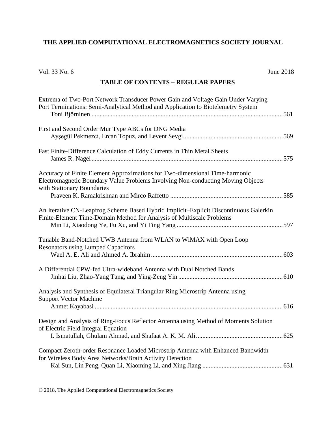# **THE APPLIED COMPUTATIONAL ELECTROMAGNETICS SOCIETY JOURNAL**

| Vol. 33 No. 6                                                                                                                                                                                | <b>June 2018</b> |
|----------------------------------------------------------------------------------------------------------------------------------------------------------------------------------------------|------------------|
| <b>TABLE OF CONTENTS - REGULAR PAPERS</b>                                                                                                                                                    |                  |
| Extrema of Two-Port Network Transducer Power Gain and Voltage Gain Under Varying<br>Port Terminations: Semi-Analytical Method and Application to Biotelemetry System                         |                  |
| First and Second Order Mur Type ABCs for DNG Media                                                                                                                                           |                  |
| Fast Finite-Difference Calculation of Eddy Currents in Thin Metal Sheets                                                                                                                     |                  |
| Accuracy of Finite Element Approximations for Two-dimensional Time-harmonic<br>Electromagnetic Boundary Value Problems Involving Non-conducting Moving Objects<br>with Stationary Boundaries |                  |
| An Iterative CN-Leapfrog Scheme Based Hybrid Implicit-Explicit Discontinuous Galerkin<br>Finite-Element Time-Domain Method for Analysis of Multiscale Problems                               |                  |
| Tunable Band-Notched UWB Antenna from WLAN to WiMAX with Open Loop<br><b>Resonators using Lumped Capacitors</b>                                                                              |                  |
| A Differential CPW-fed Ultra-wideband Antenna with Dual Notched Bands                                                                                                                        |                  |
| Analysis and Synthesis of Equilateral Triangular Ring Microstrip Antenna using<br><b>Support Vector Machine</b>                                                                              | 616              |
| Design and Analysis of Ring-Focus Reflector Antenna using Method of Moments Solution<br>of Electric Field Integral Equation                                                                  |                  |
| Compact Zeroth-order Resonance Loaded Microstrip Antenna with Enhanced Bandwidth<br>for Wireless Body Area Networks/Brain Activity Detection                                                 |                  |